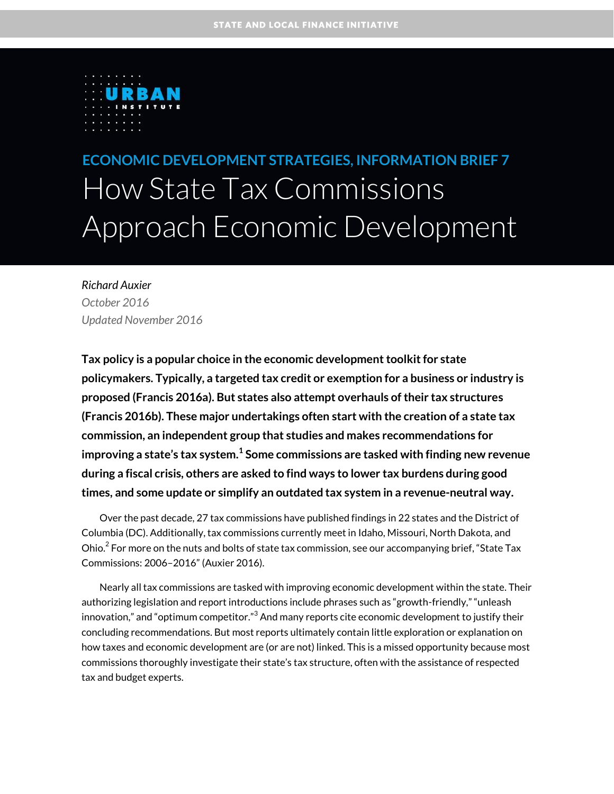

**ECONOMIC DEVELOPMENT STRATEGIES, INFORMATION BRIEF 7** How State Tax Commissions Approach Economic Development

*Richard Auxier October 2016 Updated November 2016*

**Tax policy is a popular choice in the economic development toolkit for state policymakers. Typically, a targeted tax credit or exemption for a business or industry is proposed (Francis 2016a). But states also attempt overhauls of their tax structures (Francis 2016b). These major undertakings often start with the creation of a state tax commission, an independent group that studies and makes recommendations for improving a state's tax system.[1](#page-6-0) Some commissions are tasked with finding new revenue during a fiscal crisis, others are asked to find ways to lower tax burdens during good times, and some update or simplify an outdated tax system in a revenue-neutral way.** 

Over the past decade, 27 tax commissions have published findings in 22 states and the District of Columbia (DC). Additionally, tax commissions currently meet in Idaho, Missouri, North Dakota, and Ohio. $^2$  $^2$  For more on the nuts and bolts of state tax commission, see our accompanying brief, "State Tax Commissions: 2006–2016" (Auxier 2016).

Nearly all tax commissions are tasked with improving economic development within the state. Their authorizing legislation and report introductions include phrases such as "growth-friendly," "unleash innovation," and "optimum competitor." $^3$  $^3$  And many reports cite economic development to justify their concluding recommendations. But most reports ultimately contain little exploration or explanation on how taxes and economic development are (or are not) linked. This is a missed opportunity because most commissions thoroughly investigate their state's tax structure, often with the assistance of respected tax and budget experts.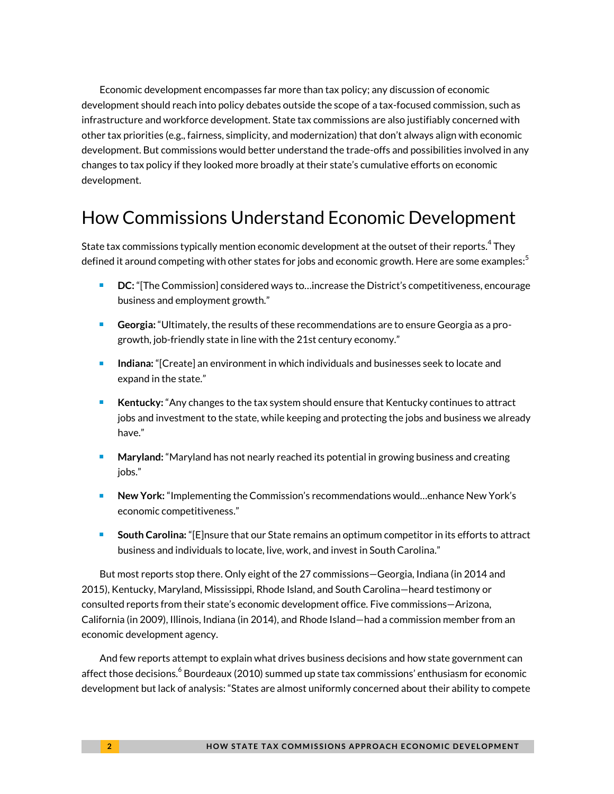Economic development encompasses far more than tax policy; any discussion of economic development should reach into policy debates outside the scope of a tax-focused commission, such as infrastructure and workforce development. State tax commissions are also justifiably concerned with other tax priorities (e.g., fairness, simplicity, and modernization) that don't always align with economic development. But commissions would better understand the trade-offs and possibilities involved in any changes to tax policy if they looked more broadly at their state's cumulative efforts on economic development.

# How Commissions Understand Economic Development

State tax commissions typically mention economic development at the outset of their reports. $^{\rm 4}$  $^{\rm 4}$  $^{\rm 4}$  They defined it around competing with other states for jobs and economic growth. Here are some examples: $^{\rm 5}$  $^{\rm 5}$  $^{\rm 5}$ 

- **DC:** "[The Commission] considered ways to…increase the District's competitiveness, encourage business and employment growth."
- **Georgia:** "Ultimately, the results of these recommendations are to ensure Georgia as a progrowth, job-friendly state in line with the 21st century economy."
- **Indiana:** "[Create] an environment in which individuals and businesses seek to locate and expand in the state."
- **Kentucky:** "Any changes to the tax system should ensure that Kentucky continues to attract jobs and investment to the state, while keeping and protecting the jobs and business we already have."
- **Maryland:** "Maryland has not nearly reached its potential in growing business and creating jobs."
- **New York:** "Implementing the Commission's recommendations would…enhance New York's economic competitiveness."
- **South Carolina:** "[E]nsure that our State remains an optimum competitor in its efforts to attract business and individuals to locate, live, work, and invest in South Carolina."

But most reports stop there. Only eight of the 27 commissions—Georgia, Indiana (in 2014 and 2015), Kentucky, Maryland, Mississippi, Rhode Island, and South Carolina—heard testimony or consulted reports from their state's economic development office. Five commissions—Arizona, California (in 2009), Illinois, Indiana (in 2014), and Rhode Island—had a commission member from an economic development agency.

And few reports attempt to explain what drives business decisions and how state government can affect those decision[s.](#page-6-5)<sup>6</sup> Bourdeaux (2010) summed up state tax commissions' enthusiasm for economic development but lack of analysis: "States are almost uniformly concerned about their ability to compete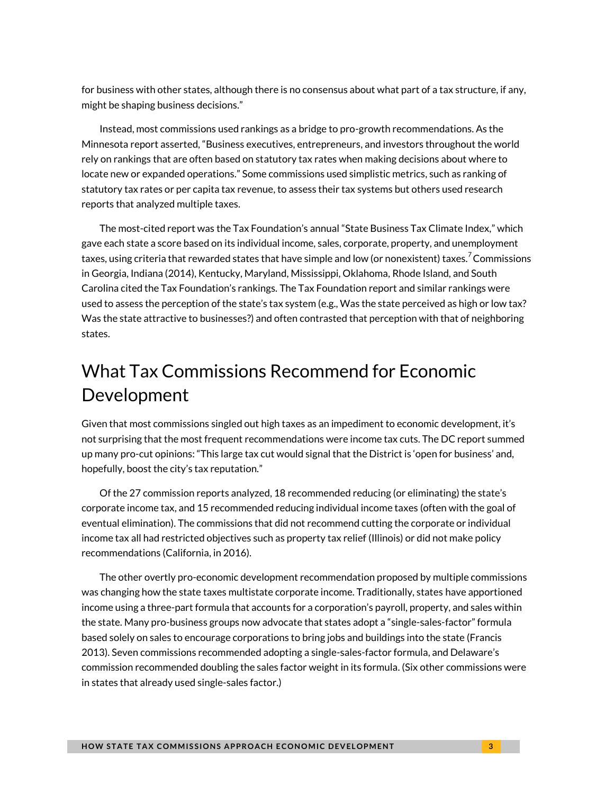for business with other states, although there is no consensus about what part of a tax structure, if any, might be shaping business decisions."

Instead, most commissions used rankings as a bridge to pro-growth recommendations. As the Minnesota report asserted, "Business executives, entrepreneurs, and investors throughout the world rely on rankings that are often based on statutory tax rates when making decisions about where to locate new or expanded operations." Some commissions used simplistic metrics, such as ranking of statutory tax rates or per capita tax revenue, to assess their tax systems but others used research reports that analyzed multiple taxes.

The most-cited report was the Tax Foundation's annual "State Business Tax Climate Index," which gave each state a score based on its individual income, sales, corporate, property, and unemployment taxes, using criteria that rewarded states that have simple and low (or nonexistent) taxe[s.](#page-7-0)<sup>7</sup> Commissions in Georgia, Indiana (2014), Kentucky, Maryland, Mississippi, Oklahoma, Rhode Island, and South Carolina cited the Tax Foundation's rankings. The Tax Foundation report and similar rankings were used to assess the perception of the state's tax system (e.g., Was the state perceived as high or low tax? Was the state attractive to businesses?) and often contrasted that perception with that of neighboring states.

# What Tax Commissions Recommend for Economic Development

Given that most commissions singled out high taxes as an impediment to economic development, it's not surprising that the most frequent recommendations were income tax cuts. The DC report summed up many pro-cut opinions: "This large tax cut would signal that the District is 'open for business' and, hopefully, boost the city's tax reputation."

Of the 27 commission reports analyzed, 18 recommended reducing (or eliminating) the state's corporate income tax, and 15 recommended reducing individual income taxes (often with the goal of eventual elimination). The commissions that did not recommend cutting the corporate or individual income tax all had restricted objectives such as property tax relief (Illinois) or did not make policy recommendations (California, in 2016).

The other overtly pro-economic development recommendation proposed by multiple commissions was changing how the state taxes multistate corporate income. Traditionally, states have apportioned income using a three-part formula that accounts for a corporation's payroll, property, and sales within the state. Many pro-business groups now advocate that states adopt a "single-sales-factor" formula based solely on sales to encourage corporations to bring jobs and buildings into the state (Francis 2013). Seven commissions recommended adopting a single-sales-factor formula, and Delaware's commission recommended doubling the sales factor weight in its formula. (Six other commissions were in states that already used single-sales factor.)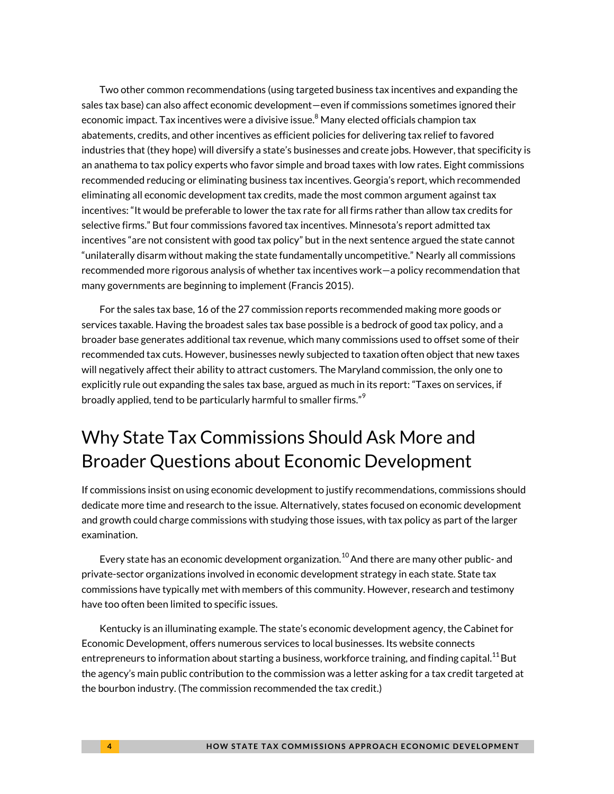Two other common recommendations (using targeted business tax incentives and expanding the sales tax base) can also affect economic development—even if commissions sometimes ignored their economic impact. Tax incentives were a divisive issue. $^8$  $^8$  Many elected officials champion tax abatements, credits, and other incentives as efficient policies for delivering tax relief to favored industries that (they hope) will diversify a state's businesses and create jobs. However, that specificity is an anathema to tax policy experts who favor simple and broad taxes with low rates. Eight commissions recommended reducing or eliminating business tax incentives. Georgia's report, which recommended eliminating all economic development tax credits, made the most common argument against tax incentives: "It would be preferable to lower the tax rate for all firms rather than allow tax credits for selective firms." But four commissions favored tax incentives. Minnesota's report admitted tax incentives "are not consistent with good tax policy" but in the next sentence argued the state cannot "unilaterally disarm without making the state fundamentally uncompetitive." Nearly all commissions recommended more rigorous analysis of whether tax incentives work—a policy recommendation that many governments are beginning to implement (Francis 2015).

For the sales tax base, 16 of the 27 commission reports recommended making more goods or services taxable. Having the broadest sales tax base possible is a bedrock of good tax policy, and a broader base generates additional tax revenue, which many commissions used to offset some of their recommended tax cuts. However, businesses newly subjected to taxation often object that new taxes will negatively affect their ability to attract customers. The Maryland commission, the only one to explicitly rule out expanding the sales tax base, argued as much in its report: "Taxes on services, if broadly applied, tend to be particularly harmful to smaller firms."<sup>[9](#page-7-2)</sup>

# Why State Tax Commissions Should Ask More and Broader Questions about Economic Development

If commissions insist on using economic development to justify recommendations, commissions should dedicate more time and research to the issue. Alternatively, states focused on economic development and growth could charge commissions with studying those issues, with tax policy as part of the larger examination.

Every state has an economic development organization.<sup>[10](#page-7-3)</sup> And there are many other public- and private-sector organizations involved in economic development strategy in each state. State tax commissions have typically met with members of this community. However, research and testimony have too often been limited to specific issues.

Kentucky is an illuminating example. The state's economic development agency, the Cabinet for Economic Development, offers numerous services to local businesses. Its website connects entrepreneurs to information about starting a business, workforce training, and finding capital.<sup>[11](#page-7-4)</sup> But the agency's main public contribution to the commission was a letter asking for a tax credit targeted at the bourbon industry. (The commission recommended the tax credit.)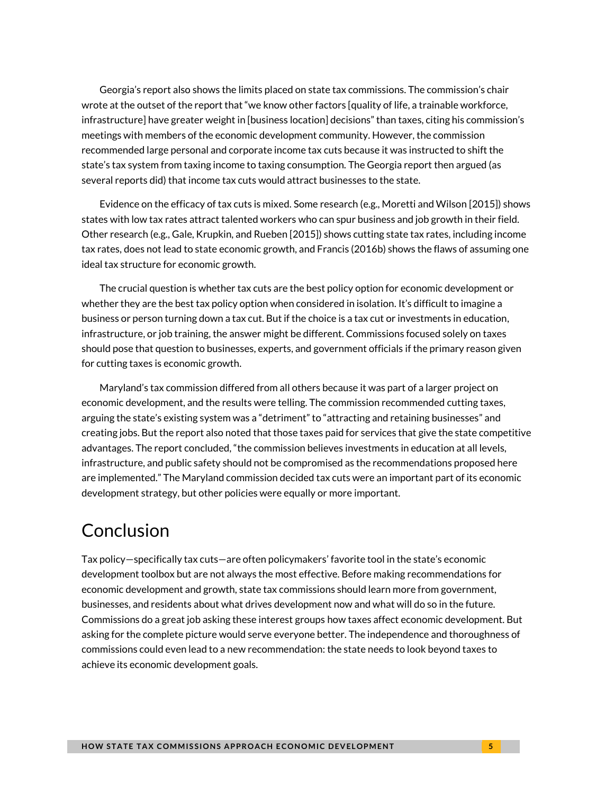Georgia's report also shows the limits placed on state tax commissions. The commission's chair wrote at the outset of the report that "we know other factors [quality of life, a trainable workforce, infrastructure] have greater weight in [business location] decisions" than taxes, citing his commission's meetings with members of the economic development community. However, the commission recommended large personal and corporate income tax cuts because it was instructed to shift the state's tax system from taxing income to taxing consumption. The Georgia report then argued (as several reports did) that income tax cuts would attract businesses to the state.

Evidence on the efficacy of tax cuts is mixed. Some research (e.g., Moretti and Wilson [2015]) shows states with low tax rates attract talented workers who can spur business and job growth in their field. Other research (e.g., Gale, Krupkin, and Rueben [2015]) shows cutting state tax rates, including income tax rates, does not lead to state economic growth, and Francis (2016b) shows the flaws of assuming one ideal tax structure for economic growth.

The crucial question is whether tax cuts are the best policy option for economic development or whether they are the best tax policy option when considered in isolation. It's difficult to imagine a business or person turning down a tax cut. But if the choice is a tax cut or investments in education, infrastructure, or job training, the answer might be different. Commissions focused solely on taxes should pose that question to businesses, experts, and government officials if the primary reason given for cutting taxes is economic growth.

Maryland's tax commission differed from all others because it was part of a larger project on economic development, and the results were telling. The commission recommended cutting taxes, arguing the state's existing system was a "detriment" to "attracting and retaining businesses" and creating jobs. But the report also noted that those taxes paid for services that give the state competitive advantages. The report concluded, "the commission believes investments in education at all levels, infrastructure, and public safety should not be compromised as the recommendations proposed here are implemented." The Maryland commission decided tax cuts were an important part of its economic development strategy, but other policies were equally or more important.

### Conclusion

Tax policy—specifically tax cuts—are often policymakers' favorite tool in the state's economic development toolbox but are not always the most effective. Before making recommendations for economic development and growth, state tax commissions should learn more from government, businesses, and residents about what drives development now and what will do so in the future. Commissions do a great job asking these interest groups how taxes affect economic development. But asking for the complete picture would serve everyone better. The independence and thoroughness of commissions could even lead to a new recommendation: the state needs to look beyond taxes to achieve its economic development goals.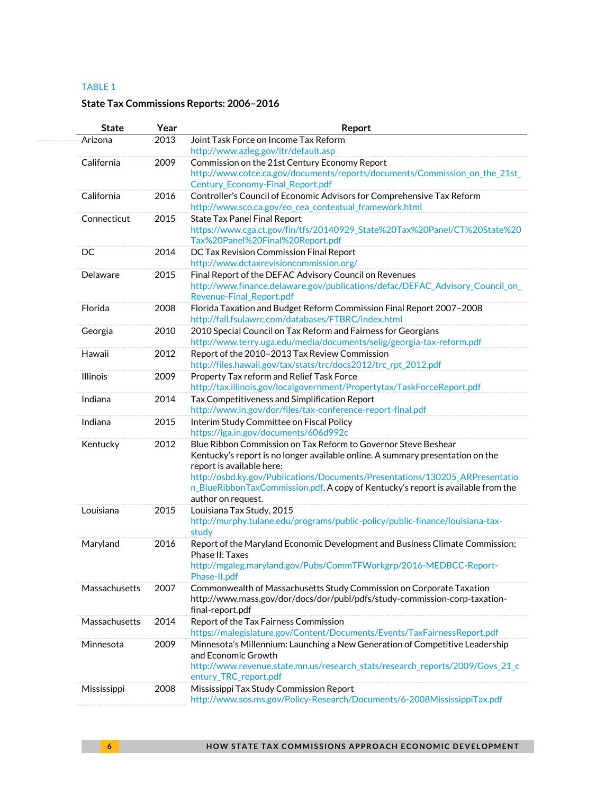#### TABLE 1

#### **State Tax Commissions Reports: 2006–2016**

| <b>State</b>    | Year | Report                                                                                                                                  |
|-----------------|------|-----------------------------------------------------------------------------------------------------------------------------------------|
| Arizona         | 2013 | Joint Task Force on Income Tax Reform                                                                                                   |
|                 |      | http://www.azleg.gov/itr/default.asp                                                                                                    |
| California      | 2009 | Commission on the 21st Century Economy Report                                                                                           |
|                 |      | http://www.cotce.ca.gov/documents/reports/documents/Commission_on_the_21st_                                                             |
|                 |      | Century_Economy-Final_Report.pdf                                                                                                        |
| California      | 2016 | Controller's Council of Economic Advisors for Comprehensive Tax Reform                                                                  |
|                 |      | http://www.sco.ca.gov/eo_cea_contextual_framework.html                                                                                  |
| Connecticut     | 2015 | State Tax Panel Final Report                                                                                                            |
|                 |      | https://www.cga.ct.gov/fin/tfs/20140929_State%20Tax%20Panel/CT%20State%20                                                               |
|                 |      | Tax%20Panel%20Final%20Report.pdf                                                                                                        |
| DC              | 2014 | DC Tax Revision Commission Final Report                                                                                                 |
|                 |      | http://www.dctaxrevisioncommission.org/                                                                                                 |
| Delaware        | 2015 | Final Report of the DEFAC Advisory Council on Revenues<br>http://www.finance.delaware.gov/publications/defac/DEFAC_Advisory_Council_on_ |
|                 |      | Revenue-Final_Report.pdf                                                                                                                |
| Florida         | 2008 | Florida Taxation and Budget Reform Commission Final Report 2007-2008                                                                    |
|                 |      | http://fall.fsulawrc.com/databases/FTBRC/index.html                                                                                     |
| Georgia         | 2010 | 2010 Special Council on Tax Reform and Fairness for Georgians                                                                           |
|                 |      | http://www.terry.uga.edu/media/documents/selig/georgia-tax-reform.pdf                                                                   |
| Hawaii          | 2012 | Report of the 2010-2013 Tax Review Commission                                                                                           |
|                 |      | http://files.hawaii.gov/tax/stats/trc/docs2012/trc_rpt_2012.pdf                                                                         |
| <b>Illinois</b> | 2009 | Property Tax reform and Relief Task Force                                                                                               |
|                 |      | http://tax.illinois.gov/localgovernment/Propertytax/TaskForceReport.pdf                                                                 |
| Indiana         | 2014 | Tax Competitiveness and Simplification Report                                                                                           |
|                 |      | http://www.in.gov/dor/files/tax-conference-report-final.pdf                                                                             |
| Indiana         | 2015 | Interim Study Committee on Fiscal Policy                                                                                                |
|                 |      | https://iga.in.gov/documents/606d992c                                                                                                   |
| Kentucky        | 2012 | Blue Ribbon Commission on Tax Reform to Governor Steve Beshear                                                                          |
|                 |      | Kentucky's report is no longer available online. A summary presentation on the                                                          |
|                 |      | report is available here:                                                                                                               |
|                 |      | http://osbd.ky.gov/Publications/Documents/Presentations/130205_ARPresentatio                                                            |
|                 |      | n_BlueRibbonTaxCommission.pdf. A copy of Kentucky's report is available from the                                                        |
|                 |      | author on request.                                                                                                                      |
| Louisiana       | 2015 | Louisiana Tax Study, 2015                                                                                                               |
|                 |      | http://murphy.tulane.edu/programs/public-policy/public-finance/louisiana-tax-<br>study                                                  |
|                 |      |                                                                                                                                         |
| Maryland        | 2016 | Report of the Maryland Economic Development and Business Climate Commission;<br>Phase II: Taxes                                         |
|                 |      | http://mgaleg.maryland.gov/Pubs/CommTFWorkgrp/2016-MEDBCC-Report-                                                                       |
|                 |      | Phase-II.pdf                                                                                                                            |
| Massachusetts   | 2007 | Commonwealth of Massachusetts Study Commission on Corporate Taxation                                                                    |
|                 |      | http://www.mass.gov/dor/docs/dor/publ/pdfs/study-commission-corp-taxation-                                                              |
|                 |      | final-report.pdf                                                                                                                        |
| Massachusetts   | 2014 | Report of the Tax Fairness Commission                                                                                                   |
|                 |      | https://malegislature.gov/Content/Documents/Events/TaxFairnessReport.pdf                                                                |
| Minnesota       | 2009 | Minnesota's Millennium: Launching a New Generation of Competitive Leadership                                                            |
|                 |      | and Economic Growth                                                                                                                     |
|                 |      | http://www.revenue.state.mn.us/research_stats/research_reports/2009/Govs_21_c                                                           |
|                 |      | entury_TRC_report.pdf                                                                                                                   |
| Mississippi     | 2008 | Mississippi Tax Study Commission Report                                                                                                 |
|                 |      | http://www.sos.ms.gov/Policy-Research/Documents/6-2008MississippiTax.pdf                                                                |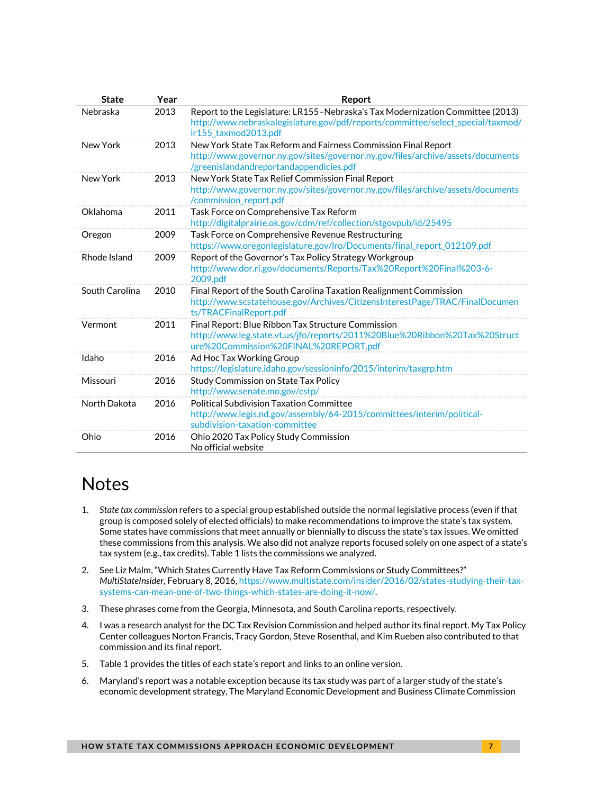| <b>State</b>   | Year | Report                                                                                                                                                                                       |
|----------------|------|----------------------------------------------------------------------------------------------------------------------------------------------------------------------------------------------|
| Nebraska       | 2013 | Report to the Legislature: LR155-Nebraska's Tax Modernization Committee (2013)<br>http://www.nebraskalegislature.gov/pdf/reports/committee/select_special/taxmod/<br>Ir155_taxmod2013.pdf    |
| New York       | 2013 | New York State Tax Reform and Fairness Commission Final Report<br>http://www.governor.ny.gov/sites/governor.ny.gov/files/archive/assets/documents<br>/greenislandandreportandappendicies.pdf |
| New York       | 2013 | New York State Tax Relief Commission Final Report<br>http://www.governor.ny.gov/sites/governor.ny.gov/files/archive/assets/documents<br>/commission report.pdf                               |
| Oklahoma       | 2011 | Task Force on Comprehensive Tax Reform<br>http://digitalprairie.ok.gov/cdm/ref/collection/stgovpub/id/25495                                                                                  |
| Oregon         | 2009 | Task Force on Comprehensive Revenue Restructuring<br>https://www.oregonlegislature.gov/lro/Documents/final_report_012109.pdf                                                                 |
| Rhode Island   | 2009 | Report of the Governor's Tax Policy Strategy Workgroup<br>http://www.dor.ri.gov/documents/Reports/Tax%20Report%20Final%203-6-<br>2009.pdf                                                    |
| South Carolina | 2010 | Final Report of the South Carolina Taxation Realignment Commission<br>http://www.scstatehouse.gov/Archives/CitizensInterestPage/TRAC/FinalDocumen<br>ts/TRACFinalReport.pdf                  |
| Vermont        | 2011 | Final Report: Blue Ribbon Tax Structure Commission<br>http://www.leg.state.vt.us/jfo/reports/2011%20Blue%20Ribbon%20Tax%20Struct<br>ure%20Commission%20FINAL%20REPORT.pdf                    |
| Idaho          | 2016 | Ad Hoc Tax Working Group<br>https://legislature.idaho.gov/sessioninfo/2015/interim/taxgrp.htm                                                                                                |
| Missouri       | 2016 | Study Commission on State Tax Policy<br>http://www.senate.mo.gov/cstp/                                                                                                                       |
| North Dakota   | 2016 | <b>Political Subdivision Taxation Committee</b><br>http://www.legis.nd.gov/assembly/64-2015/committees/interim/political-<br>subdivision-taxation-committee                                  |
| Ohio           | 2016 | Ohio 2020 Tax Policy Study Commission<br>No official website                                                                                                                                 |

# **Notes**

- <span id="page-6-0"></span>1. *State tax commission* refers to a special group established outside the normal legislative process (even if that group is composed solely of elected officials) to make recommendations to improve the state's tax system. Some states have commissions that meet annually or biennially to discuss the state's tax issues. We omitted these commissions from this analysis. We also did not analyze reports focused solely on one aspect of a state's tax system (e.g., tax credits). Table 1 lists the commissions we analyzed.
- <span id="page-6-1"></span>2. See Liz Malm, "Which States Currently Have Tax Reform Commissions or Study Committees?" *MultiStateInsider,* February 8, 2016[, https://www.multistate.com/insider/2016/02/states-studying-their-tax](https://www.multistate.com/insider/2016/02/states-studying-their-tax-systems-can-mean-one-of-two-things-which-states-are-doing-it-now/)[systems-can-mean-one-of-two-things-which-states-are-doing-it-now/.](https://www.multistate.com/insider/2016/02/states-studying-their-tax-systems-can-mean-one-of-two-things-which-states-are-doing-it-now/)
- <span id="page-6-2"></span>3. These phrases come from the Georgia, Minnesota, and South Carolina reports, respectively.
- <span id="page-6-3"></span>4. I was a research analyst for the DC Tax Revision Commission and helped author its final report. My Tax Policy Center colleagues Norton Francis, Tracy Gordon, Steve Rosenthal, and Kim Rueben also contributed to that commission and its final report.
- <span id="page-6-4"></span>5. Table 1 provides the titles of each state's report and links to an online version.
- <span id="page-6-5"></span>6. Maryland's report was a notable exception because its tax study was part of a larger study of the state's economic development strategy, The Maryland Economic Development and Business Climate Commission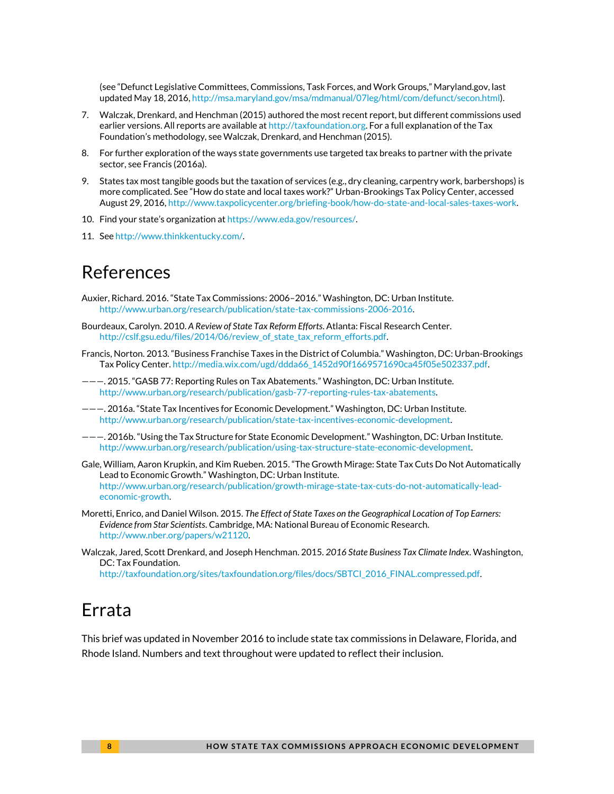(see "Defunct Legislative Committees, Commissions, Task Forces, and Work Groups," Maryland.gov, last updated May 18, 2016[, http://msa.maryland.gov/msa/mdmanual/07leg/html/com/defunct/secon.html\)](http://msa.maryland.gov/msa/mdmanual/07leg/html/com/defunct/secon.html).

- <span id="page-7-0"></span>7. Walczak, Drenkard, and Henchman (2015) authored the most recent report, but different commissions used earlier versions. All reports are available a[t http://taxfoundation.org.](http://taxfoundation.org/) For a full explanation of the Tax Foundation's methodology, see Walczak, Drenkard, and Henchman (2015).
- <span id="page-7-1"></span>8. For further exploration of the ways state governments use targeted tax breaks to partner with the private sector, se[e Francis](file:///D:/Users/mmarazzi/Desktop/Francis) (2016a).
- <span id="page-7-2"></span>9. States tax most tangible goods but the taxation of services (e.g., dry cleaning, carpentry work, barbershops) is more complicated. See "How do state and local taxes work?" Urban-Brookings Tax Policy Center, accessed August 29, 2016[, http://www.taxpolicycenter.org/briefing-book/how-do-state-and-local-sales-taxes-work.](http://www.taxpolicycenter.org/briefing-book/how-do-state-and-local-sales-taxes-work)
- <span id="page-7-3"></span>10. Find your state's organization at [https://www.eda.gov/resources/.](https://www.eda.gov/resources/)
- <span id="page-7-4"></span>11. Se[e http://www.thinkkentucky.com/.](http://www.thinkkentucky.com/)

### References

- Auxier, Richard. 2016. "State Tax Commissions: 2006–2016." Washington, DC: Urban Institute. [http://www.urban.org/research/publication/state-tax-commissions-2006-2016.](http://www.urban.org/research/publication/state-tax-commissions-2006-2016)
- Bourdeaux, Carolyn. 2010. *A Review of State Tax Reform Efforts*. Atlanta: Fiscal Research Center. [http://cslf.gsu.edu/files/2014/06/review\\_of\\_state\\_tax\\_reform\\_efforts.pdf.](http://cslf.gsu.edu/files/2014/06/review_of_state_tax_reform_efforts.pdf)
- Francis, Norton. 2013. "Business Franchise Taxes in the District of Columbia." Washington, DC: Urban-Brookings Tax Policy Center[. http://media.wix.com/ugd/ddda66\\_1452d90f1669571690ca45f05e502337.pdf.](http://media.wix.com/ugd/ddda66_1452d90f1669571690ca45f05e502337.pdf)
- ———. 2015. "GASB 77: Reporting Rules on Tax Abatements." Washington, DC: Urban Institute. [http://www.urban.org/research/publication/gasb-77-reporting-rules-tax-abatements.](http://www.urban.org/research/publication/gasb-77-reporting-rules-tax-abatements)
- ———. 2016a. "State Tax Incentives for Economic Development." Washington, DC: Urban Institute. [http://www.urban.org/research/publication/state-tax-incentives-economic-development.](http://www.urban.org/research/publication/state-tax-incentives-economic-development)
- ———. 2016b. "Using the Tax Structure for State Economic Development." Washington, DC: Urban Institute. [http://www.urban.org/research/publication/using-tax-structure-state-economic-development.](http://www.urban.org/research/publication/using-tax-structure-state-economic-development)
- Gale, William, Aaron Krupkin, and Kim Rueben. 2015. "The Growth Mirage: State Tax Cuts Do Not Automatically Lead to Economic Growth." Washington, DC: Urban Institute. [http://www.urban.org/research/publication/growth-mirage-state-tax-cuts-do-not-automatically-lead](http://www.urban.org/research/publication/growth-mirage-state-tax-cuts-do-not-automatically-lead-economic-growth)[economic-growth.](http://www.urban.org/research/publication/growth-mirage-state-tax-cuts-do-not-automatically-lead-economic-growth)
- Moretti, Enrico, and Daniel Wilson. 2015. *The Effect of State Taxes on the Geographical Location of Top Earners: Evidence from Star Scientists*. Cambridge, MA: National Bureau of Economic Research. [http://www.nber.org/papers/w21120.](http://www.nber.org/papers/w21120)
- Walczak, Jared, Scott Drenkard, and Joseph Henchman. 2015. *2016 State Business Tax Climate Index*. Washington, DC: Tax Foundation.

[http://taxfoundation.org/sites/taxfoundation.org/files/docs/SBTCI\\_2016\\_FINAL.compressed.pdf.](http://taxfoundation.org/sites/taxfoundation.org/files/docs/SBTCI_2016_FINAL.compressed.pdf) 

### Errata

This brief was updated in November 2016 to include state tax commissions in Delaware, Florida, and Rhode Island. Numbers and text throughout were updated to reflect their inclusion.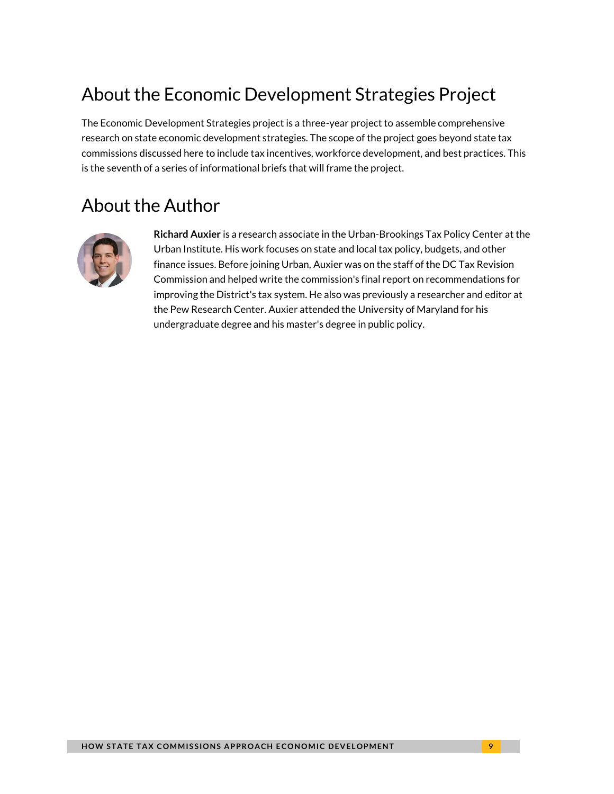# About the Economic Development Strategies Project

The Economic Development Strategies project is a three-year project to assemble comprehensive research on state economic development strategies. The scope of the project goes beyond state tax commissions discussed here to include tax incentives, workforce development, and best practices. This is the seventh of a series of informational briefs that will frame the project.

# About the Author



**Richard Auxier** is a research associate in the Urban-Brookings Tax Policy Center at the Urban Institute. His work focuses on state and local tax policy, budgets, and other finance issues. Before joining Urban, Auxier was on the staff of the DC Tax Revision Commission and helped write the commission's final report on recommendations for improving the District's tax system. He also was previously a researcher and editor at the Pew Research Center. Auxier attended the University of Maryland for his undergraduate degree and his master's degree in public policy.